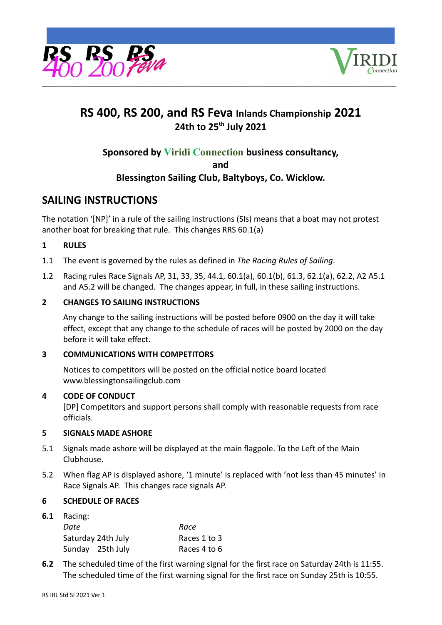



# **RS 400, RS 200, and RS Feva Inlands Championship 2021 24th to 25 th July 2021**

# **Sponsored by Viridi Connection business consultancy,**

**and**

# **Blessington Sailing Club, Baltyboys, Co. Wicklow.**

# **SAILING INSTRUCTIONS**

The notation '[NP]' in a rule of the sailing instructions (SIs) means that a boat may not protest another boat for breaking that rule. This changes RRS 60.1(a)

# **1 RULES**

- 1.1 The event is governed by the rules as defined in *The Racing Rules of Sailing*.
- 1.2 Racing rules Race Signals AP, 31, 33, 35, 44.1, 60.1(a), 60.1(b), 61.3, 62.1(a), 62.2, A2 A5.1 and A5.2 will be changed. The changes appear, in full, in these sailing instructions.

# **2 CHANGES TO SAILING INSTRUCTIONS**

Any change to the sailing instructions will be posted before 0900 on the day it will take effect, except that any change to the schedule of races will be posted by 2000 on the day before it will take effect.

# **3 COMMUNICATIONS WITH COMPETITORS**

Notices to competitors will be posted on the official notice board located www.blessingtonsailingclub.com

# **4 CODE OF CONDUCT**

[DP] Competitors and support persons shall comply with reasonable requests from race officials.

## **5 SIGNALS MADE ASHORE**

- 5.1 Signals made ashore will be displayed at the main flagpole. To the Left of the Main Clubhouse.
- 5.2 When flag AP is displayed ashore, '1 minute' is replaced with 'not less than 45 minutes' in Race Signals AP. This changes race signals AP.

# **6 SCHEDULE OF RACES**

**6.1** Racing:

| Date |                    | Race         |
|------|--------------------|--------------|
|      | Saturday 24th July | Races 1 to 3 |
|      | Sunday 25th July   | Races 4 to 6 |

**6.2** The scheduled time of the first warning signal for the first race on Saturday 24th is 11:55. The scheduled time of the first warning signal for the first race on Sunday 25th is 10:55.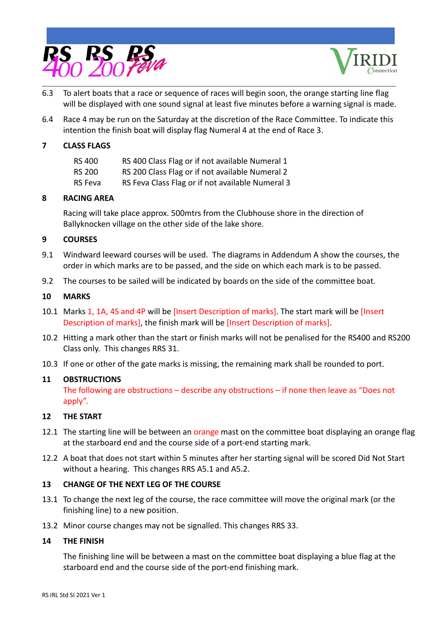



- \_\_\_\_\_\_\_\_\_\_\_\_\_\_\_\_\_\_\_\_\_\_\_\_\_\_\_\_\_\_\_\_\_\_\_\_\_\_\_\_\_\_\_\_\_\_\_\_\_\_\_\_\_\_\_\_\_\_\_\_\_\_\_\_\_\_\_\_\_\_\_\_\_\_\_\_\_\_\_\_\_\_\_\_\_\_\_\_\_\_\_\_\_\_\_\_\_\_\_\_\_\_\_\_\_\_\_\_\_\_\_\_\_\_\_\_\_\_\_\_ 6.3 To alert boats that a race or sequence of races will begin soon, the orange starting line flag will be displayed with one sound signal at least five minutes before a warning signal is made.
- 6.4 Race 4 may be run on the Saturday at the discretion of the Race Committee. To indicate this intention the finish boat will display flag Numeral 4 at the end of Race 3.

## **7 CLASS FLAGS**

| RS 400  | RS 400 Class Flag or if not available Numeral 1  |
|---------|--------------------------------------------------|
| RS 200  | RS 200 Class Flag or if not available Numeral 2  |
| RS Feva | RS Feva Class Flag or if not available Numeral 3 |

## **8 RACING AREA**

Racing will take place approx. 500mtrs from the Clubhouse shore in the direction of Ballyknocken village on the other side of the lake shore.

## **9 COURSES**

- 9.1 Windward leeward courses will be used. The diagrams in Addendum A show the courses, the order in which marks are to be passed, and the side on which each mark is to be passed.
- 9.2 The courses to be sailed will be indicated by boards on the side of the committee boat.

# **10 MARKS**

- 10.1 Marks 1, 1A, 4S and 4P will be [Insert Description of marks]. The start mark will be [Insert Description of marks], the finish mark will be [Insert Description of marks].
- 10.2 Hitting a mark other than the start or finish marks will not be penalised for the RS400 and RS200 Class only. This changes RRS 31.
- 10.3 If one or other of the gate marks is missing, the remaining mark shall be rounded to port.

## **11 OBSTRUCTIONS**

The following are obstructions – describe any obstructions – if none then leave as "Does not apply".

## **12 THE START**

- 12.1 The starting line will be between an orange mast on the committee boat displaying an orange flag at the starboard end and the course side of a port-end starting mark.
- 12.2 A boat that does not start within 5 minutes after her starting signal will be scored Did Not Start without a hearing. This changes RRS A5.1 and A5.2.

# **13 CHANGE OF THE NEXT LEG OF THE COURSE**

- 13.1 To change the next leg of the course, the race committee will move the original mark (or the finishing line) to a new position.
- 13.2 Minor course changes may not be signalled. This changes RRS 33.

## **14 THE FINISH**

The finishing line will be between a mast on the committee boat displaying a blue flag at the starboard end and the course side of the port-end finishing mark.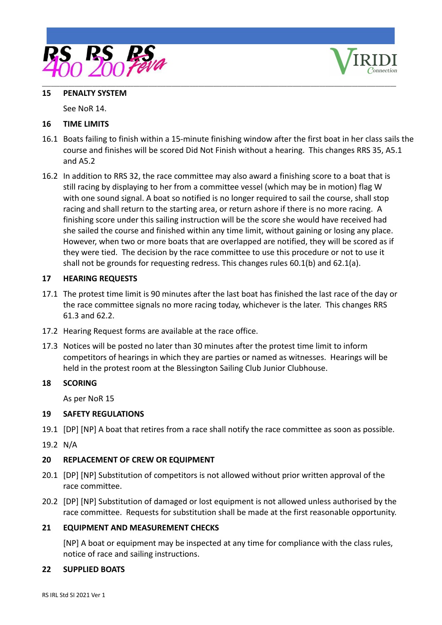



#### **15 PENALTY SYSTEM**

See NoR 14.

# **16 TIME LIMITS**

- 16.1 Boats failing to finish within a 15-minute finishing window after the first boat in her class sails the course and finishes will be scored Did Not Finish without a hearing. This changes RRS 35, A5.1 and A5.2
- 16.2 In addition to RRS 32, the race committee may also award a finishing score to a boat that is still racing by displaying to her from a committee vessel (which may be in motion) flag W with one sound signal. A boat so notified is no longer required to sail the course, shall stop racing and shall return to the starting area, or return ashore if there is no more racing. A finishing score under this sailing instruction will be the score she would have received had she sailed the course and finished within any time limit, without gaining or losing any place. However, when two or more boats that are overlapped are notified, they will be scored as if they were tied. The decision by the race committee to use this procedure or not to use it shall not be grounds for requesting redress. This changes rules 60.1(b) and 62.1(a).

# **17 HEARING REQUESTS**

- 17.1 The protest time limit is 90 minutes after the last boat has finished the last race of the day or the race committee signals no more racing today, whichever is the later. This changes RRS 61.3 and 62.2.
- 17.2 Hearing Request forms are available at the race office.
- 17.3 Notices will be posted no later than 30 minutes after the protest time limit to inform competitors of hearings in which they are parties or named as witnesses. Hearings will be held in the protest room at the Blessington Sailing Club Junior Clubhouse.

## **18 SCORING**

As per NoR 15

## **19 SAFETY REGULATIONS**

- 19.1 [DP] [NP] A boat that retires from a race shall notify the race committee as soon as possible.
- 19.2 N/A

## **20 REPLACEMENT OF CREW OR EQUIPMENT**

- 20.1 [DP] [NP] Substitution of competitors is not allowed without prior written approval of the race committee.
- 20.2 [DP] [NP] Substitution of damaged or lost equipment is not allowed unless authorised by the race committee. Requests for substitution shall be made at the first reasonable opportunity.

## **21 EQUIPMENT AND MEASUREMENT CHECKS**

[NP] A boat or equipment may be inspected at any time for compliance with the class rules, notice of race and sailing instructions.

## **22 SUPPLIED BOATS**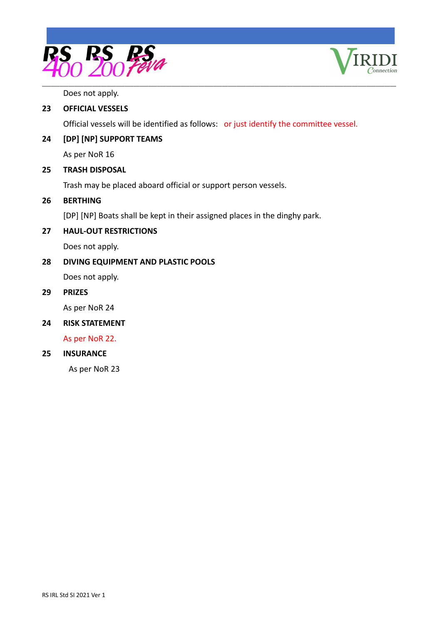



Does not apply.

# **23 OFFICIAL VESSELS**

Official vessels will be identified as follows: or just identify the committee vessel.

# **24 [DP] [NP] SUPPORT TEAMS**

As per NoR 16

## **25 TRASH DISPOSAL**

Trash may be placed aboard official or support person vessels.

# **26 BERTHING**

[DP] [NP] Boats shall be kept in their assigned places in the dinghy park.

## **27 HAUL-OUT RESTRICTIONS**

Does not apply.

# **28 DIVING EQUIPMENT AND PLASTIC POOLS**

Does not apply.

#### **29 PRIZES**

As per NoR 24

## **24 RISK STATEMENT**

As per NoR 22.

# **25 INSURANCE**

As per NoR 23